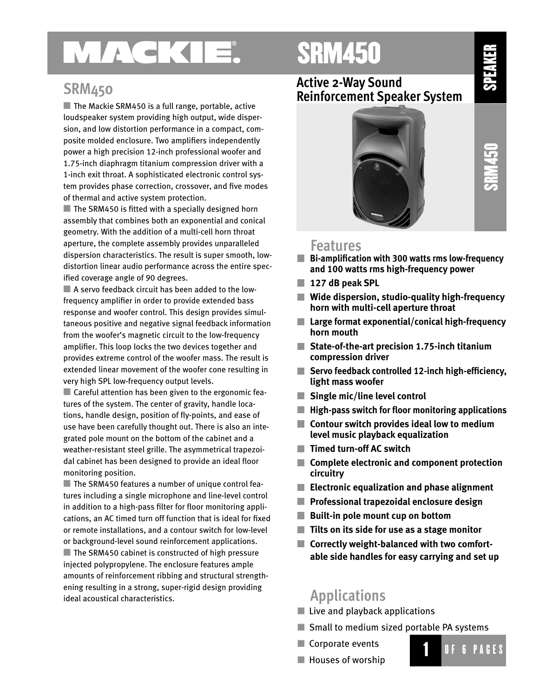# MAGKIE.

## SRM450

### **SRM450**

■ The Mackie SRM450 is a full range, portable, active loudspeaker system providing high output, wide dispersion, and low distortion performance in a compact, composite molded enclosure. Two amplifiers independently power a high precision 12-inch professional woofer and 1.75-inch diaphragm titanium compression driver with a 1-inch exit throat. A sophisticated electronic control system provides phase correction, crossover, and five modes of thermal and active system protection.

 $\blacksquare$  The SRM450 is fitted with a specially designed horn assembly that combines both an exponential and conical geometry. With the addition of a multi-cell horn throat aperture, the complete assembly provides unparalleled dispersion characteristics. The result is super smooth, lowdistortion linear audio performance across the entire specified coverage angle of 90 degrees.

 A servo feedback circuit has been added to the lowfrequency amplifier in order to provide extended bass response and woofer control. This design provides simultaneous positive and negative signal feedback information from the woofer's magnetic circuit to the low-frequency amplifier. This loop locks the two devices together and provides extreme control of the woofer mass. The result is extended linear movement of the woofer cone resulting in very high SPL low-frequency output levels.

■ Careful attention has been given to the ergonomic features of the system. The center of gravity, handle locations, handle design, position of fly-points, and ease of use have been carefully thought out. There is also an integrated pole mount on the bottom of the cabinet and a weather-resistant steel grille. The asymmetrical trapezoidal cabinet has been designed to provide an ideal floor monitoring position.

■ The SRM450 features a number of unique control features including a single microphone and line-level control in addition to a high-pass filter for floor monitoring applications, an AC timed turn off function that is ideal for fixed or remote installations, and a contour switch for low-level or background-level sound reinforcement applications. ■ The SRM450 cabinet is constructed of high pressure injected polypropylene. The enclosure features ample amounts of reinforcement ribbing and structural strengthening resulting in a strong, super-rigid design providing ideal acoustical characteristics.

### **Active 2-Way Sound Reinforcement Speaker System**



**SPEAKER** 

### **Features**

- **Bi-amplification with 300 watts rms low-frequency and 100 watts rms high-frequency power**
- **127 dB peak SPL**
- **Tale Wide dispersion, studio-quality high-frequency horn with multi-cell aperture throat**
- **Large format exponential/conical high-frequency horn mouth**
- **State-of-the-art precision 1.75-inch titanium compression driver**
- **Servo feedback controlled 12-inch high-efficiency, light mass woofer**
- **Single mic/line level control**
- **High-pass switch for floor monitoring applications**
- **Contour switch provides ideal low to medium level music playback equalization**
- **Timed turn-off AC switch**
- **Complete electronic and component protection circuitry**
- **Electronic equalization and phase alignment**
- **Professional trapezoidal enclosure design**
- **Built-in pole mount cup on bottom**
- **Tilts on its side for use as a stage monitor**
- Correctly weight-balanced with two comfort**able side handles for easy carrying and set up**

## **Applications**

- $\blacksquare$  Live and playback applications
- Small to medium sized portable PA systems
- Corporate events



 $\blacksquare$  Houses of worship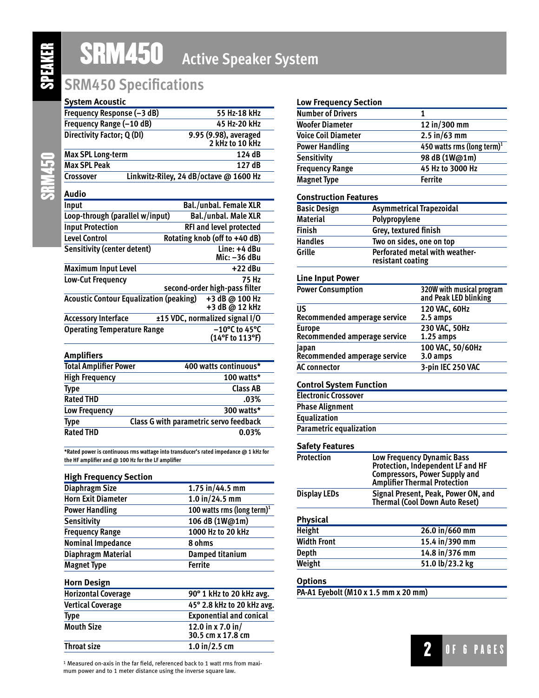SRM450

# SRM450 **Active Speaker System**

## **SRM450 Specifications**

#### **System Acoustic**

| Frequency Response (-3 dB)                     | 55 Hz-18 kHz                               |
|------------------------------------------------|--------------------------------------------|
| Frequency Range (-10 dB)                       | 45 Hz-20 kHz                               |
| Directivity Factor; Q (DI)                     | 9.95 (9.98), averaged<br>2 kHz to 10 kHz   |
| <b>Max SPL Long-term</b>                       | 124 dB                                     |
| <b>Max SPL Peak</b>                            | 127 dB                                     |
| Crossover                                      | Linkwitz-Riley, 24 dB/octave @ 1600 Hz     |
| Audio                                          |                                            |
| Input                                          | <b>Bal./unbal. Female XLR</b>              |
| Loop-through (parallel w/input)                | <b>Bal./unbal. Male XLR</b>                |
| <b>Input Protection</b>                        | <b>RFI and level protected</b>             |
| <b>Level Control</b>                           | Rotating knob (off to +40 dB)              |
| <b>Sensitivity (center detent)</b>             | Line: +4 dBu<br>Mic: -36 dBu               |
| <b>Maximum Input Level</b>                     | $+22$ dBu                                  |
| Low-Cut Frequency                              | 75 Hz<br>second-order high-pass filter     |
| <b>Acoustic Contour Equalization (peaking)</b> | +3 dB @ 100 Hz<br>+3 dB @ 12 kHz           |
| <b>Accessory Interface</b>                     | ±15 VDC, normalized signal I/O             |
| <b>Operating Temperature Range</b>             | $-10^{\circ}$ C to 45°C<br>(14°F to 113°F) |
| <u> Amplifiarc</u>                             |                                            |

| <b>Amplifiers</b>            |                                        |
|------------------------------|----------------------------------------|
| <b>Total Amplifier Power</b> | 400 watts continuous*                  |
| <b>High Frequency</b>        | 100 watts*                             |
| <b>Type</b>                  | <b>Class AB</b>                        |
| <b>Rated THD</b>             | .03%                                   |
| Low Frequency                | 300 watts*                             |
| Type                         | Class G with parametric servo feedback |
| <b>Rated THD</b>             | 0.03%                                  |

**\*Rated power is continuous rms wattage into transducer's rated impedance @ 1 kHz for the HF amplifier and @ 100 Hz for the LF amplifier**

| <b>High Frequency Section</b> |                                        |
|-------------------------------|----------------------------------------|
| <b>Diaphragm Size</b>         | $1.75$ in/44.5 mm                      |
| <b>Horn Exit Diameter</b>     | $1.0$ in/24.5 mm                       |
| <b>Power Handling</b>         | 100 watts rms (long term) <sup>1</sup> |
| <b>Sensitivity</b>            | 106 dB (1W@1m)                         |
| <b>Frequency Range</b>        | 1000 Hz to 20 kHz                      |
| <b>Nominal Impedance</b>      | 8 ohms                                 |
| <b>Diaphragm Material</b>     | Damped titanium                        |
| <b>Magnet Type</b>            | <b>Ferrite</b>                         |
| <b>Horn Design</b>            |                                        |
| <b>Horizontal Coverage</b>    | 90° 1 kHz to 20 kHz avg.               |
| <b>Vertical Coverage</b>      | 45° 2.8 kHz to 20 kHz avg.             |
| <b>Type</b>                   | <b>Exponential and conical</b>         |
| <b>Mouth Size</b>             | 12.0 in x 7.0 in/<br>30.5 cm x 17.8 cm |
| <b>Throat size</b>            | $1.0$ in/2.5 cm                        |
|                               |                                        |

1 Measured on-axis in the far field, referenced back to 1 watt rms from maximum power and to 1 meter distance using the inverse square law.

#### **Low Frequency Section**

| <b>Number of Drivers</b>   |                                        |
|----------------------------|----------------------------------------|
| <b>Woofer Diameter</b>     | 12 in/300 mm                           |
| <b>Voice Coil Diameter</b> | $2.5 \text{ in} / 63 \text{ mm}$       |
| <b>Power Handling</b>      | 450 watts rms (long term) <sup>1</sup> |
| Sensitivity                | 98 dB (1W@1m)                          |
| <b>Frequency Range</b>     | 45 Hz to 3000 Hz                       |
| <b>Magnet Type</b>         | <b>Ferrite</b>                         |

#### **Construction Features**

| <b>Basic Design</b> | <b>Asymmetrical Trapezoidal</b>                     |
|---------------------|-----------------------------------------------------|
| <b>Material</b>     | Polypropylene                                       |
| <b>Finish</b>       | Grey, textured finish                               |
| <b>Handles</b>      | Two on sides, one on top                            |
| Grille              | Perforated metal with weather-<br>resistant coating |

#### **Line Input Power**

| <b>Power Consumption</b>     | 320W with musical program<br>and Peak LED blinking |
|------------------------------|----------------------------------------------------|
| US                           | 120 VAC, 60Hz                                      |
| Recommended amperage service | 2.5 amps                                           |
| <b>Europe</b>                | 230 VAC, 50Hz                                      |
| Recommended amperage service | $1.25$ amps                                        |
| Japan                        | 100 VAC, 50/60Hz                                   |
| Recommended amperage service | 3.0 amps                                           |
| <b>AC</b> connector          | 3-pin IEC 250 VAC                                  |

#### **Control System Function**

| <b>Electronic Crossover</b>    |  |
|--------------------------------|--|
| <b>Phase Alignment</b>         |  |
| <b>Equalization</b>            |  |
| <b>Parametric equalization</b> |  |

#### **Safety Features**

| Low Frequency Dynamic Bass<br>Protection, Independent LF and HF<br><b>Compressors, Power Supply and<br/>Amplifier Thermal Protection</b> |  |
|------------------------------------------------------------------------------------------------------------------------------------------|--|
| Signal Present, Peak, Power ON, and<br><b>Thermal (Cool Down Auto Reset)</b>                                                             |  |
|                                                                                                                                          |  |
| 26.0 in/660 mm                                                                                                                           |  |
| 15.4 in/390 mm                                                                                                                           |  |
| 14.8 in/376 mm                                                                                                                           |  |
| 51.0 lb/23.2 kg                                                                                                                          |  |
|                                                                                                                                          |  |

#### **Options**

**PA-A1 Eyebolt (M10 x 1.5 mm x 20 mm)**

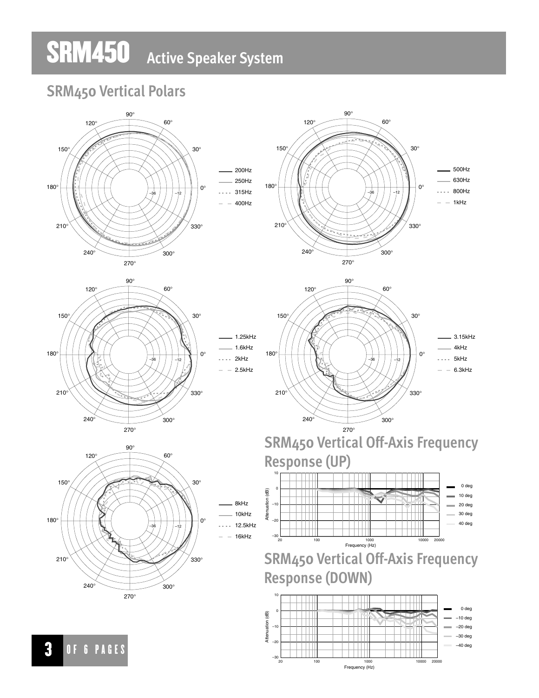# SRM450 **Active Speaker System**

## **SRM450 Vertical Polars**

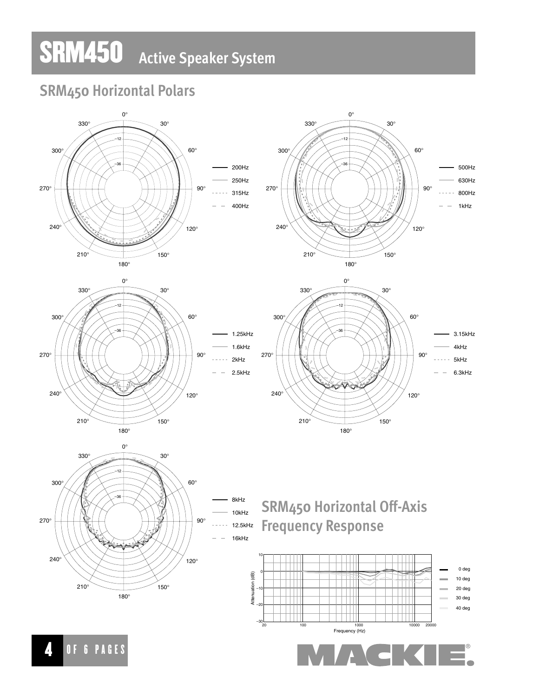# SRM450 **Active Speaker System**

## **SRM450 Horizontal Polars**

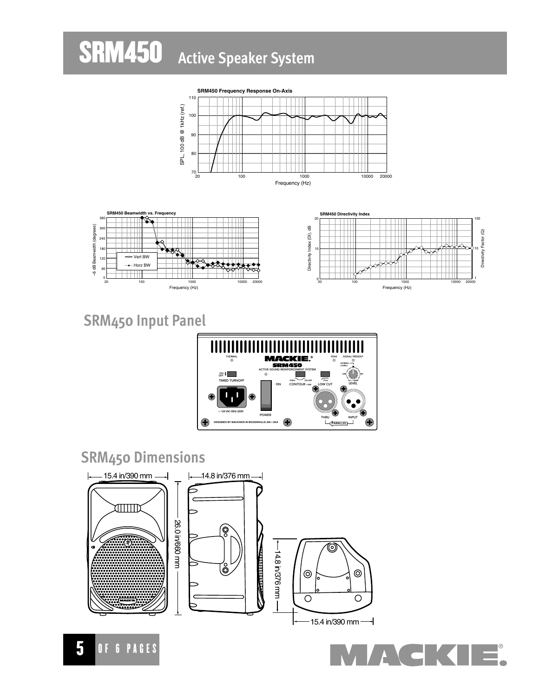### **SRM450** Active Speaker System





## **SRM450 Input Panel**



## **SRM450 Dimensions**





Directivity Factor (Q)